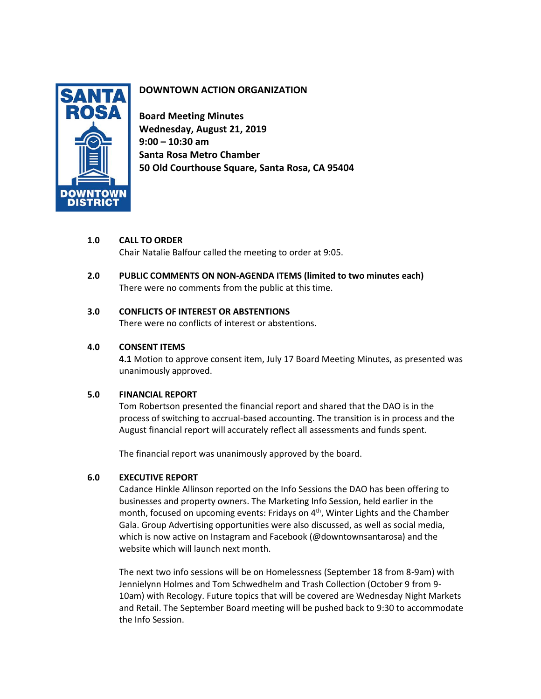

# **DOWNTOWN ACTION ORGANIZATION**

**Board Meeting Minutes Wednesday, August 21, 2019 9:00 – 10:30 am Santa Rosa Metro Chamber 50 Old Courthouse Square, Santa Rosa, CA 95404**

# **1.0 CALL TO ORDER**

Chair Natalie Balfour called the meeting to order at 9:05.

**2.0 PUBLIC COMMENTS ON NON-AGENDA ITEMS (limited to two minutes each)** There were no comments from the public at this time.

# **3.0 CONFLICTS OF INTEREST OR ABSTENTIONS**

There were no conflicts of interest or abstentions.

# **4.0 CONSENT ITEMS**

**4.1** Motion to approve consent item, July 17 Board Meeting Minutes, as presented was unanimously approved.

### **5.0 FINANCIAL REPORT**

Tom Robertson presented the financial report and shared that the DAO is in the process of switching to accrual-based accounting. The transition is in process and the August financial report will accurately reflect all assessments and funds spent.

The financial report was unanimously approved by the board.

# **6.0 EXECUTIVE REPORT**

Cadance Hinkle Allinson reported on the Info Sessions the DAO has been offering to businesses and property owners. The Marketing Info Session, held earlier in the month, focused on upcoming events: Fridays on 4<sup>th</sup>, Winter Lights and the Chamber Gala. Group Advertising opportunities were also discussed, as well as social media, which is now active on Instagram and Facebook (@downtownsantarosa) and the website which will launch next month.

The next two info sessions will be on Homelessness (September 18 from 8-9am) with Jennielynn Holmes and Tom Schwedhelm and Trash Collection (October 9 from 9- 10am) with Recology. Future topics that will be covered are Wednesday Night Markets and Retail. The September Board meeting will be pushed back to 9:30 to accommodate the Info Session.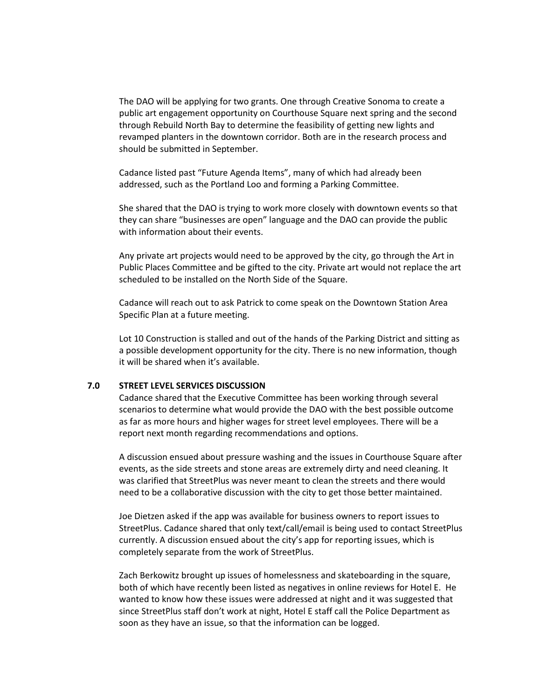The DAO will be applying for two grants. One through Creative Sonoma to create a public art engagement opportunity on Courthouse Square next spring and the second through Rebuild North Bay to determine the feasibility of getting new lights and revamped planters in the downtown corridor. Both are in the research process and should be submitted in September.

Cadance listed past "Future Agenda Items", many of which had already been addressed, such as the Portland Loo and forming a Parking Committee.

She shared that the DAO is trying to work more closely with downtown events so that they can share "businesses are open" language and the DAO can provide the public with information about their events.

Any private art projects would need to be approved by the city, go through the Art in Public Places Committee and be gifted to the city. Private art would not replace the art scheduled to be installed on the North Side of the Square.

Cadance will reach out to ask Patrick to come speak on the Downtown Station Area Specific Plan at a future meeting.

Lot 10 Construction is stalled and out of the hands of the Parking District and sitting as a possible development opportunity for the city. There is no new information, though it will be shared when it's available.

#### **7.0 STREET LEVEL SERVICES DISCUSSION**

Cadance shared that the Executive Committee has been working through several scenarios to determine what would provide the DAO with the best possible outcome as far as more hours and higher wages for street level employees. There will be a report next month regarding recommendations and options.

A discussion ensued about pressure washing and the issues in Courthouse Square after events, as the side streets and stone areas are extremely dirty and need cleaning. It was clarified that StreetPlus was never meant to clean the streets and there would need to be a collaborative discussion with the city to get those better maintained.

Joe Dietzen asked if the app was available for business owners to report issues to StreetPlus. Cadance shared that only text/call/email is being used to contact StreetPlus currently. A discussion ensued about the city's app for reporting issues, which is completely separate from the work of StreetPlus.

Zach Berkowitz brought up issues of homelessness and skateboarding in the square, both of which have recently been listed as negatives in online reviews for Hotel E. He wanted to know how these issues were addressed at night and it was suggested that since StreetPlus staff don't work at night, Hotel E staff call the Police Department as soon as they have an issue, so that the information can be logged.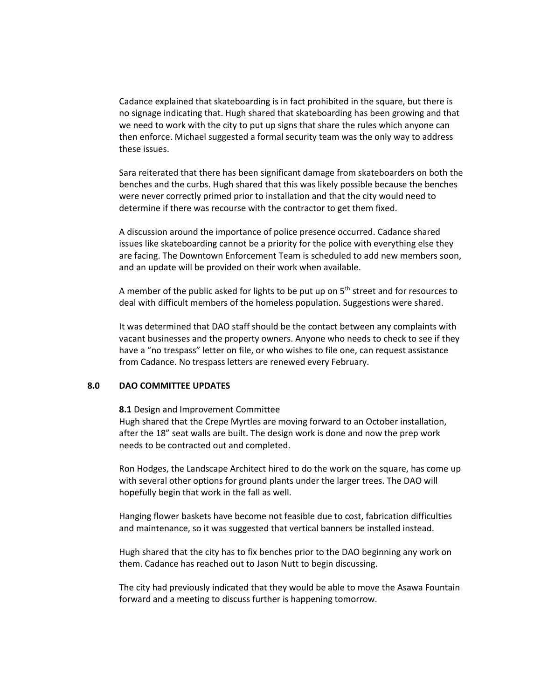Cadance explained that skateboarding is in fact prohibited in the square, but there is no signage indicating that. Hugh shared that skateboarding has been growing and that we need to work with the city to put up signs that share the rules which anyone can then enforce. Michael suggested a formal security team was the only way to address these issues.

Sara reiterated that there has been significant damage from skateboarders on both the benches and the curbs. Hugh shared that this was likely possible because the benches were never correctly primed prior to installation and that the city would need to determine if there was recourse with the contractor to get them fixed.

A discussion around the importance of police presence occurred. Cadance shared issues like skateboarding cannot be a priority for the police with everything else they are facing. The Downtown Enforcement Team is scheduled to add new members soon, and an update will be provided on their work when available.

A member of the public asked for lights to be put up on  $5<sup>th</sup>$  street and for resources to deal with difficult members of the homeless population. Suggestions were shared.

It was determined that DAO staff should be the contact between any complaints with vacant businesses and the property owners. Anyone who needs to check to see if they have a "no trespass" letter on file, or who wishes to file one, can request assistance from Cadance. No trespass letters are renewed every February.

#### **8.0 DAO COMMITTEE UPDATES**

**8.1** Design and Improvement Committee

Hugh shared that the Crepe Myrtles are moving forward to an October installation, after the 18" seat walls are built. The design work is done and now the prep work needs to be contracted out and completed.

Ron Hodges, the Landscape Architect hired to do the work on the square, has come up with several other options for ground plants under the larger trees. The DAO will hopefully begin that work in the fall as well.

Hanging flower baskets have become not feasible due to cost, fabrication difficulties and maintenance, so it was suggested that vertical banners be installed instead.

Hugh shared that the city has to fix benches prior to the DAO beginning any work on them. Cadance has reached out to Jason Nutt to begin discussing.

The city had previously indicated that they would be able to move the Asawa Fountain forward and a meeting to discuss further is happening tomorrow.